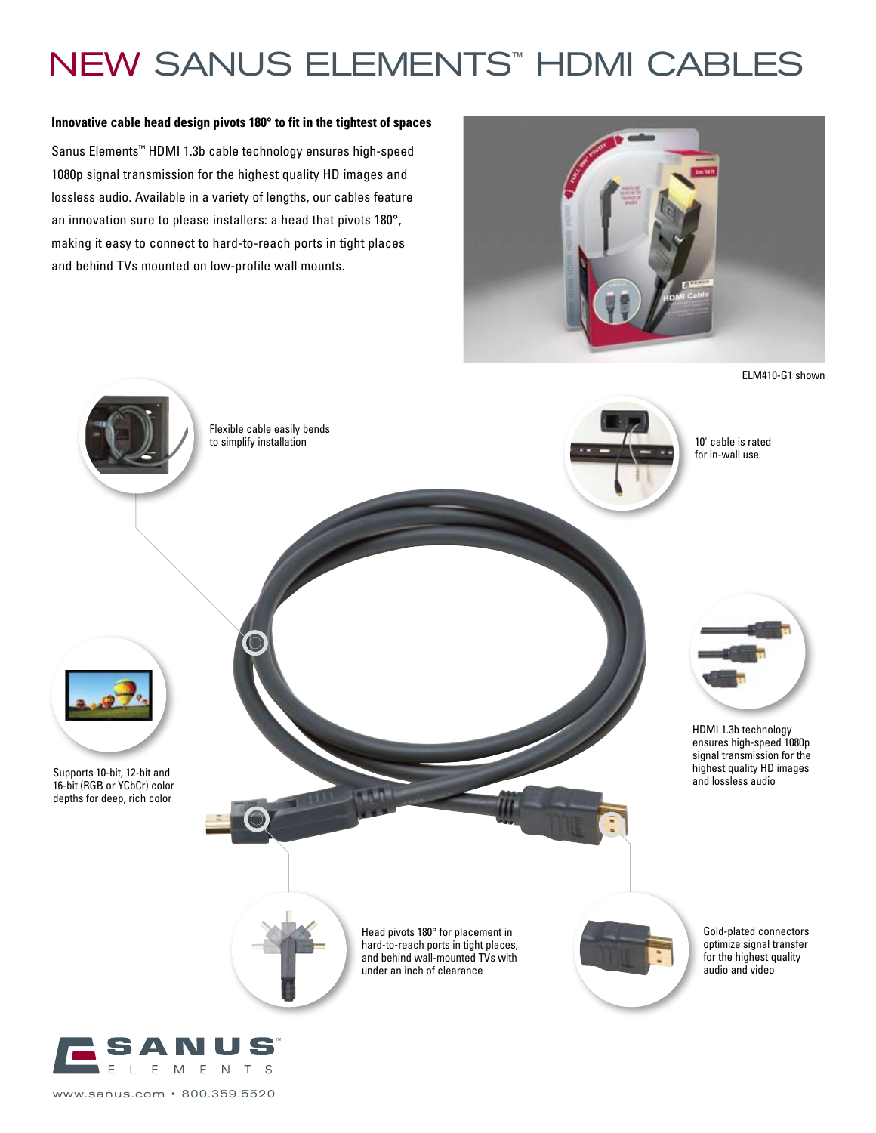# NEW SANUS ELEMENTS™ HDMI CABLES

#### **Innovative cable head design pivots 180° to fit in the tightest of spaces**

Sanus Elements™ HDMI 1.3b cable technology ensures high-speed 1080p signal transmission for the highest quality HD images and lossless audio. Available in a variety of lengths, our cables feature an innovation sure to please installers: a head that pivots 180°, making it easy to connect to hard-to-reach ports in tight places and behind TVs mounted on low-profile wall mounts.



ELM410-G1 shown